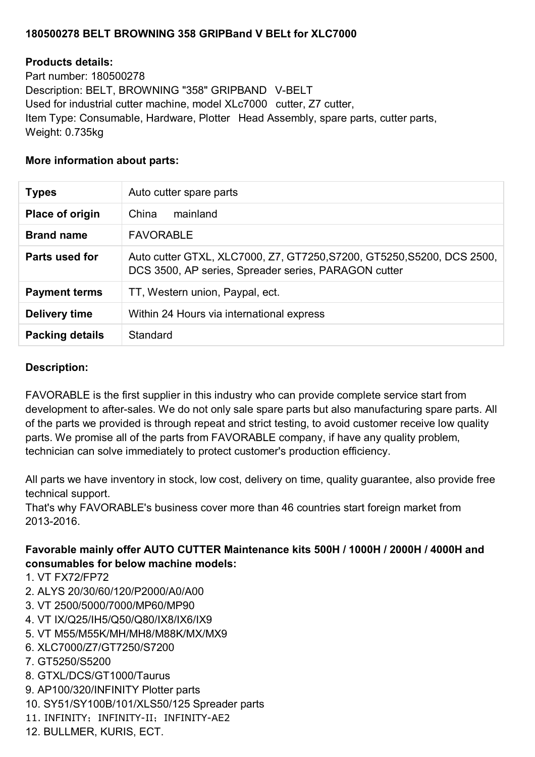## **180500278 BELT BROWNING 358 GRIPBand V BELt for XLC7000**

### **Products details:**

Part number: 180500278 Description: BELT, BROWNING "358" GRIPBAND V-BELT Used for industrial cutter machine, model XLc7000 cutter, Z7 cutter, Item Type: Consumable, Hardware, Plotter Head Assembly, spare parts, cutter parts, Weight: 0.735kg

#### **More information about parts:**

| <b>Types</b>           | Auto cutter spare parts                                                                                                        |
|------------------------|--------------------------------------------------------------------------------------------------------------------------------|
| Place of origin        | mainland<br>China                                                                                                              |
| <b>Brand name</b>      | <b>FAVORABLE</b>                                                                                                               |
| Parts used for         | Auto cutter GTXL, XLC7000, Z7, GT7250, S7200, GT5250, S5200, DCS 2500,<br>DCS 3500, AP series, Spreader series, PARAGON cutter |
| <b>Payment terms</b>   | TT, Western union, Paypal, ect.                                                                                                |
| Delivery time          | Within 24 Hours via international express                                                                                      |
| <b>Packing details</b> | Standard                                                                                                                       |

### **Description:**

FAVORABLE is the first supplier in this industry who can provide complete service start from development to after-sales. We do not only sale spare parts but also manufacturing spare parts. All of the parts we provided is through repeat and strict testing, to avoid customer receive low quality parts. We promise all of the parts from FAVORABLE company, if have any quality problem, technician can solve immediately to protect customer's production efficiency.

All parts we have inventory in stock, low cost, delivery on time, quality guarantee, also provide free technical support.

That's why FAVORABLE's business cover more than 46 countries start foreign market from 2013-2016.

# **Favorable mainly offer AUTO CUTTER Maintenance kits 500H / 1000H / 2000H / 4000H and consumables for below machine models:**

- 1. VT FX72/FP72
- 2. ALYS 20/30/60/120/P2000/A0/A00
- 3. VT 2500/5000/7000/MP60/MP90
- 4. VT IX/Q25/IH5/Q50/Q80/IX8/IX6/IX9
- 5. VT M55/M55K/MH/MH8/M88K/MX/MX9
- 6. XLC7000/Z7/GT7250/S7200
- 7. GT5250/S5200
- 8. GTXL/DCS/GT1000/Taurus
- 9. AP100/320/INFINITY Plotter parts
- 10. SY51/SY100B/101/XLS50/125 Spreader parts
- 11. INFINITY; INFINITY-II; INFINITY-AE2
- 12. BULLMER, KURIS, ECT.